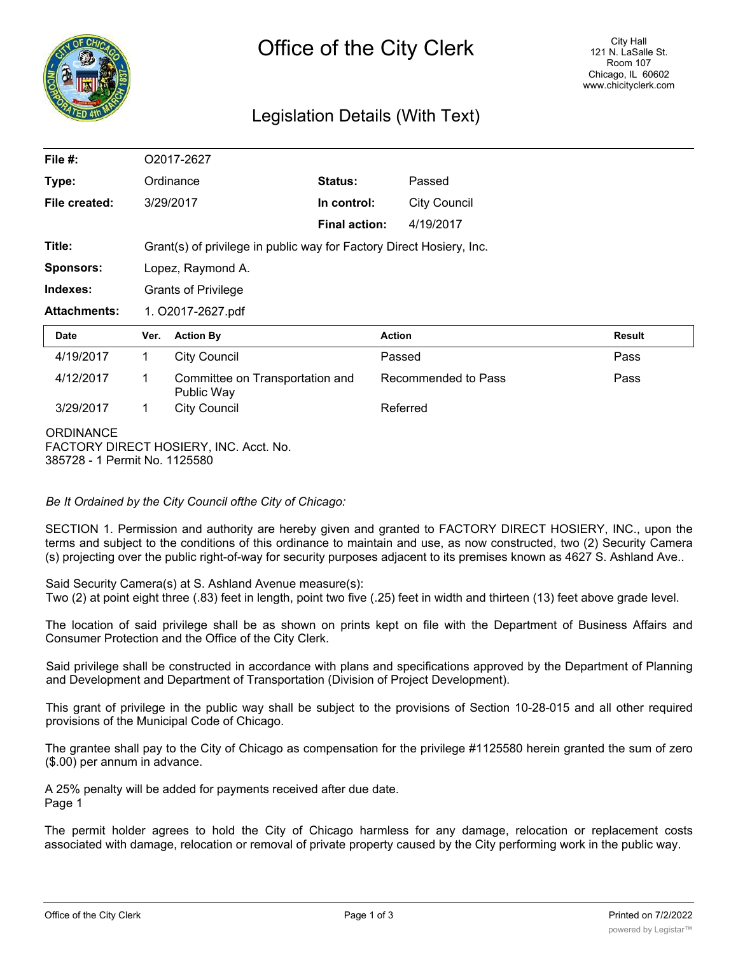

# Legislation Details (With Text)

| File $#$ :                                        | O2017-2627                                                           |                                               |                      |                     |               |
|---------------------------------------------------|----------------------------------------------------------------------|-----------------------------------------------|----------------------|---------------------|---------------|
| Type:                                             |                                                                      | Ordinance                                     | Status:              | Passed              |               |
| File created:                                     |                                                                      | 3/29/2017                                     | In control:          | <b>City Council</b> |               |
|                                                   |                                                                      |                                               | <b>Final action:</b> | 4/19/2017           |               |
| Title:                                            | Grant(s) of privilege in public way for Factory Direct Hosiery, Inc. |                                               |                      |                     |               |
| <b>Sponsors:</b>                                  | Lopez, Raymond A.                                                    |                                               |                      |                     |               |
| Indexes:                                          | <b>Grants of Privilege</b>                                           |                                               |                      |                     |               |
| <b>Attachments:</b>                               | 1. O2017-2627.pdf                                                    |                                               |                      |                     |               |
| Date                                              | Ver.                                                                 | <b>Action By</b>                              |                      | <b>Action</b>       | <b>Result</b> |
| 4/19/2017                                         | 1                                                                    | <b>City Council</b>                           |                      | Passed              | Pass          |
| 4/12/2017                                         | 1                                                                    | Committee on Transportation and<br>Public Way |                      | Recommended to Pass | Pass          |
| 3/29/2017                                         | $\mathbf 1$                                                          | <b>City Council</b>                           |                      | Referred            |               |
| <b>ORDINANCE</b><br>385728 - 1 Permit No. 1125580 |                                                                      | FACTORY DIRECT HOSIERY, INC. Acct. No.        |                      |                     |               |

*Be It Ordained by the City Council ofthe City of Chicago:*

SECTION 1. Permission and authority are hereby given and granted to FACTORY DIRECT HOSIERY, INC., upon the terms and subject to the conditions of this ordinance to maintain and use, as now constructed, two (2) Security Camera (s) projecting over the public right-of-way for security purposes adjacent to its premises known as 4627 S. Ashland Ave..

Said Security Camera(s) at S. Ashland Avenue measure(s):

Two (2) at point eight three (.83) feet in length, point two five (.25) feet in width and thirteen (13) feet above grade level.

The location of said privilege shall be as shown on prints kept on file with the Department of Business Affairs and Consumer Protection and the Office of the City Clerk.

Said privilege shall be constructed in accordance with plans and specifications approved by the Department of Planning and Development and Department of Transportation (Division of Project Development).

This grant of privilege in the public way shall be subject to the provisions of Section 10-28-015 and all other required provisions of the Municipal Code of Chicago.

The grantee shall pay to the City of Chicago as compensation for the privilege #1125580 herein granted the sum of zero (\$.00) per annum in advance.

A 25% penalty will be added for payments received after due date. Page 1

The permit holder agrees to hold the City of Chicago harmless for any damage, relocation or replacement costs associated with damage, relocation or removal of private property caused by the City performing work in the public way.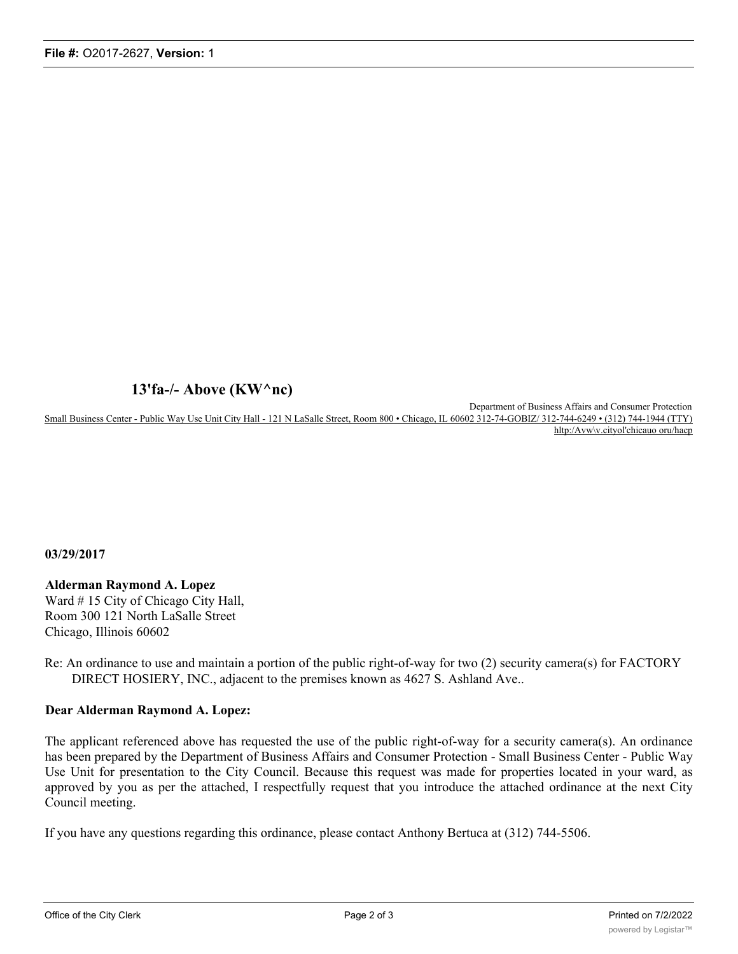## **13'fa-/- Above (KW^nc)**

Department of Business Affairs and Consumer Protection Small Business Center - Public Way Use Unit City Hall - 121 N LaSalle Street, Room 800 • Chicago, IL 60602 312-74-GOBIZ/ 312-744-6249 • (312) 744-1944 (TTY) hltp:/Avw\v.cityol'chicauo oru/hacp

### **03/29/2017**

#### **Alderman Raymond A. Lopez** Ward # 15 City of Chicago City Hall,

Room 300 121 North LaSalle Street Chicago, Illinois 60602

Re: An ordinance to use and maintain a portion of the public right-of-way for two (2) security camera(s) for FACTORY DIRECT HOSIERY, INC., adjacent to the premises known as 4627 S. Ashland Ave..

### **Dear Alderman Raymond A. Lopez:**

The applicant referenced above has requested the use of the public right-of-way for a security camera(s). An ordinance has been prepared by the Department of Business Affairs and Consumer Protection - Small Business Center - Public Way Use Unit for presentation to the City Council. Because this request was made for properties located in your ward, as approved by you as per the attached, I respectfully request that you introduce the attached ordinance at the next City Council meeting.

If you have any questions regarding this ordinance, please contact Anthony Bertuca at (312) 744-5506.